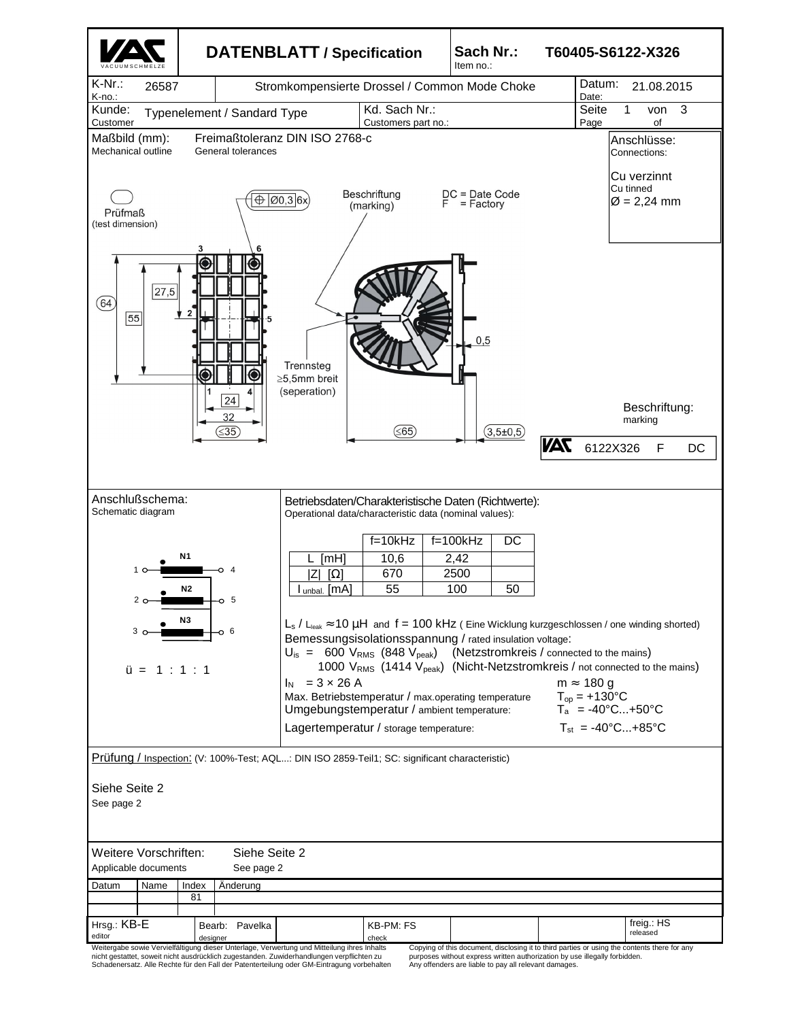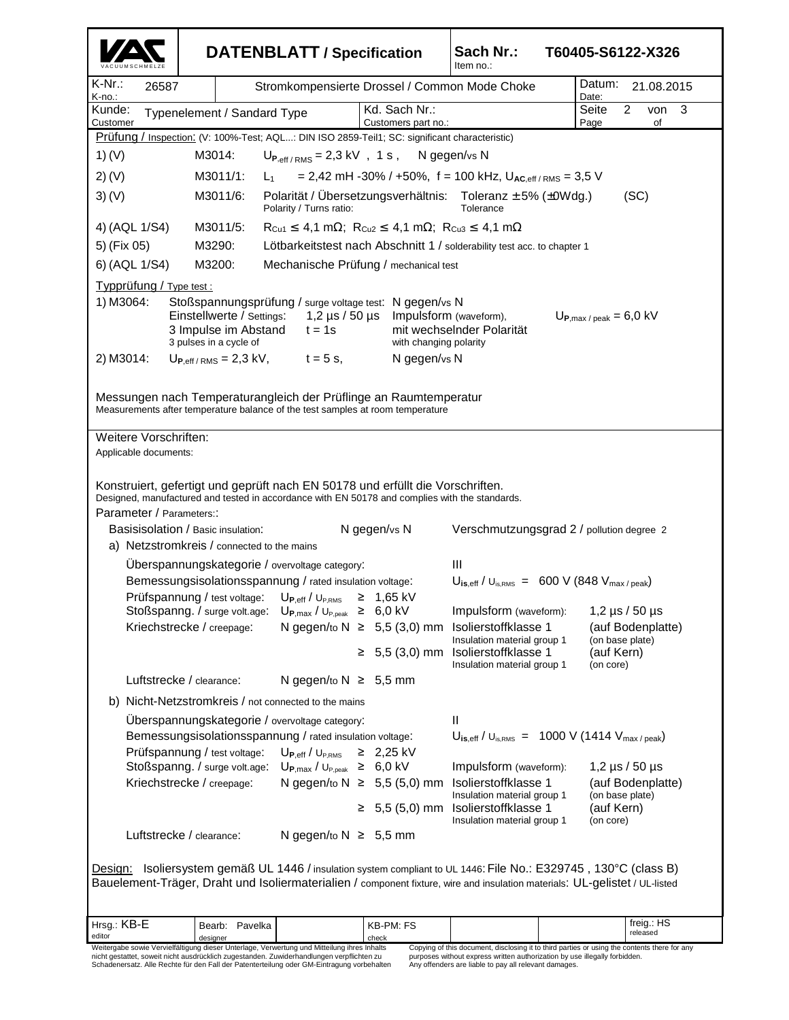|                                                                                                                                                                                                                                                                                                                                                                                                                                                                                                                                                    | <b>DATENBLATT / Specification</b>                                                                         |                                                                                                                                                                                                                                                                                                           |  |                                      | Sach Nr.:<br>T60405-S6122-X326<br>Item no.:                                                                                                                                                                  |            |                                      |  |
|----------------------------------------------------------------------------------------------------------------------------------------------------------------------------------------------------------------------------------------------------------------------------------------------------------------------------------------------------------------------------------------------------------------------------------------------------------------------------------------------------------------------------------------------------|-----------------------------------------------------------------------------------------------------------|-----------------------------------------------------------------------------------------------------------------------------------------------------------------------------------------------------------------------------------------------------------------------------------------------------------|--|--------------------------------------|--------------------------------------------------------------------------------------------------------------------------------------------------------------------------------------------------------------|------------|--------------------------------------|--|
| $K-Nr$ .:<br>26587<br>K-no.:                                                                                                                                                                                                                                                                                                                                                                                                                                                                                                                       |                                                                                                           | Stromkompensierte Drossel / Common Mode Choke                                                                                                                                                                                                                                                             |  |                                      | Datum:<br>Date:                                                                                                                                                                                              | 21.08.2015 |                                      |  |
| Kunde:<br>Typenelement / Sandard Type<br>Customer                                                                                                                                                                                                                                                                                                                                                                                                                                                                                                  |                                                                                                           |                                                                                                                                                                                                                                                                                                           |  | Kd. Sach Nr.:<br>Customers part no.: |                                                                                                                                                                                                              |            | 2<br>3<br>von<br>of                  |  |
| Prüfung / Inspection: (V: 100%-Test; AQL: DIN ISO 2859-Teil1; SC: significant characteristic)                                                                                                                                                                                                                                                                                                                                                                                                                                                      |                                                                                                           |                                                                                                                                                                                                                                                                                                           |  |                                      |                                                                                                                                                                                                              |            |                                      |  |
| 1) (V)                                                                                                                                                                                                                                                                                                                                                                                                                                                                                                                                             | M3014:<br>$U_{P,eff/RMS}$ = 2,3 kV, 1 s, N gegen/vs N                                                     |                                                                                                                                                                                                                                                                                                           |  |                                      |                                                                                                                                                                                                              |            |                                      |  |
| $2)$ (V)                                                                                                                                                                                                                                                                                                                                                                                                                                                                                                                                           | M3011/1:<br>= 2,42 mH -30% / +50%, f = 100 kHz, $U_{AC,eff/RMS}$ = 3,5 V<br>$L_{1}$                       |                                                                                                                                                                                                                                                                                                           |  |                                      |                                                                                                                                                                                                              |            |                                      |  |
| 3)(V)                                                                                                                                                                                                                                                                                                                                                                                                                                                                                                                                              | Polarität / Übersetzungsverhältnis: Toleranz ± 5% (±0Wdg.)<br>M3011/6:<br>Polarity / Turns ratio:         |                                                                                                                                                                                                                                                                                                           |  |                                      | (SC)<br>Tolerance                                                                                                                                                                                            |            |                                      |  |
| 4) (AQL 1/S4)                                                                                                                                                                                                                                                                                                                                                                                                                                                                                                                                      | M3011/5:<br>$R_{Cu1} \leq 4.1$ m $\Omega$ ; $R_{Cu2} \leq 4.1$ m $\Omega$ ; $R_{Cu3} \leq 4.1$ m $\Omega$ |                                                                                                                                                                                                                                                                                                           |  |                                      |                                                                                                                                                                                                              |            |                                      |  |
| 5) (Fix 05)                                                                                                                                                                                                                                                                                                                                                                                                                                                                                                                                        | M3290:<br>Lötbarkeitstest nach Abschnitt 1 / solderability test acc. to chapter 1                         |                                                                                                                                                                                                                                                                                                           |  |                                      |                                                                                                                                                                                                              |            |                                      |  |
| 6) (AQL 1/S4)                                                                                                                                                                                                                                                                                                                                                                                                                                                                                                                                      | M3200:<br>Mechanische Prüfung / mechanical test                                                           |                                                                                                                                                                                                                                                                                                           |  |                                      |                                                                                                                                                                                                              |            |                                      |  |
| Typprüfung / Type test :<br>1) M3064:<br>Stoßspannungsprüfung / surge voltage test: N gegen/vs N<br>Einstellwerte / Settings:<br>Impulsform (waveform),<br>$1,2 \,\mu s$ / 50 $\mu s$<br>$U_{\text{P,max}/\text{peak}} = 6.0 \text{ kV}$<br>mit wechselnder Polarität<br>3 Impulse im Abstand<br>$t = 1s$<br>3 pulses in a cycle of<br>with changing polarity<br>2) M3014:<br>$t = 5$ s,<br>$U_{P,eff/RMS}$ = 2,3 kV,<br>N gegen/vs N                                                                                                              |                                                                                                           |                                                                                                                                                                                                                                                                                                           |  |                                      |                                                                                                                                                                                                              |            |                                      |  |
| Messungen nach Temperaturangleich der Prüflinge an Raumtemperatur<br>Measurements after temperature balance of the test samples at room temperature                                                                                                                                                                                                                                                                                                                                                                                                |                                                                                                           |                                                                                                                                                                                                                                                                                                           |  |                                      |                                                                                                                                                                                                              |            |                                      |  |
| Weitere Vorschriften:<br>Applicable documents:                                                                                                                                                                                                                                                                                                                                                                                                                                                                                                     |                                                                                                           |                                                                                                                                                                                                                                                                                                           |  |                                      |                                                                                                                                                                                                              |            |                                      |  |
| Konstruiert, gefertigt und geprüft nach EN 50178 und erfüllt die Vorschriften.<br>Designed, manufactured and tested in accordance with EN 50178 and complies with the standards.<br>Parameter / Parameters::<br>N gegen/vs N<br>Basisisolation / Basic insulation:<br>Verschmutzungsgrad 2 / pollution degree 2                                                                                                                                                                                                                                    |                                                                                                           |                                                                                                                                                                                                                                                                                                           |  |                                      |                                                                                                                                                                                                              |            |                                      |  |
| a) Netzstromkreis / connected to the mains                                                                                                                                                                                                                                                                                                                                                                                                                                                                                                         |                                                                                                           |                                                                                                                                                                                                                                                                                                           |  |                                      |                                                                                                                                                                                                              |            |                                      |  |
|                                                                                                                                                                                                                                                                                                                                                                                                                                                                                                                                                    | Kriechstrecke / creepage:                                                                                 | Uberspannungskategorie / overvoltage category:<br>Bemessungsisolationsspannung / rated insulation voltage:<br>Prüfspannung / test voltage: U <sub>P,eff</sub> / U <sub>P,RMS</sub><br>Stoßspanng. / surge volt.age: U <sub>P,max</sub> / U <sub>P,peak</sub> ≥ 6,0 kV<br>N gegen/to $N \geq 5,5$ (3,0) mm |  | $≥$ 1,65 kV<br>$\geq 5.5(3.0)$ mm    | Ш<br>$U_{\text{is,eff}}/U_{\text{is,RMS}} = 600 \text{ V} (848 V_{\text{max/peak}})$<br>Impulsform (waveform): 1,2 µs / 50 µs<br>Isolierstoffklasse 1<br>Insulation material group 1<br>Isolierstoffklasse 1 | (auf Kern) | (auf Bodenplatte)<br>(on base plate) |  |
|                                                                                                                                                                                                                                                                                                                                                                                                                                                                                                                                                    |                                                                                                           |                                                                                                                                                                                                                                                                                                           |  |                                      | Insulation material group 1                                                                                                                                                                                  | (on core)  |                                      |  |
|                                                                                                                                                                                                                                                                                                                                                                                                                                                                                                                                                    | Luftstrecke / clearance:                                                                                  | N gegen/to $N \geq 5,5$ mm                                                                                                                                                                                                                                                                                |  |                                      |                                                                                                                                                                                                              |            |                                      |  |
| b) Nicht-Netzstromkreis / not connected to the mains                                                                                                                                                                                                                                                                                                                                                                                                                                                                                               |                                                                                                           |                                                                                                                                                                                                                                                                                                           |  |                                      |                                                                                                                                                                                                              |            |                                      |  |
| Überspannungskategorie / overvoltage category:<br>Bemessungsisolationsspannung / rated insulation voltage:                                                                                                                                                                                                                                                                                                                                                                                                                                         |                                                                                                           |                                                                                                                                                                                                                                                                                                           |  |                                      | $\mathbf{I}$<br>$U_{\text{is,eff}}/U_{\text{is,RMS}} = 1000 \text{ V} (1414 V_{\text{max/peak}})$                                                                                                            |            |                                      |  |
|                                                                                                                                                                                                                                                                                                                                                                                                                                                                                                                                                    | Prüfspannung / test voltage:                                                                              | $\mathsf{U}_{\mathsf{P},\mathsf{eff}}$ / $\mathsf{U}_{\mathsf{P},\mathsf{RMS}}$                                                                                                                                                                                                                           |  | $≥$ 2,25 kV                          |                                                                                                                                                                                                              |            |                                      |  |
|                                                                                                                                                                                                                                                                                                                                                                                                                                                                                                                                                    | Stoßspanng. / surge volt.age:                                                                             | $U_{\text{P,max}}/U_{\text{P,peak}} \ge 6.0 \text{ kV}$                                                                                                                                                                                                                                                   |  |                                      | Impulsform (waveform):                                                                                                                                                                                       |            | 1,2 $\mu$ s / 50 $\mu$ s             |  |
|                                                                                                                                                                                                                                                                                                                                                                                                                                                                                                                                                    | Kriechstrecke / creepage:                                                                                 | N gegen/to $N \geq 5,5$ (5,0) mm                                                                                                                                                                                                                                                                          |  | $≥ 5,5(5,0)$ mm                      | Isolierstoffklasse 1<br>Insulation material group 1<br>Isolierstoffklasse 1                                                                                                                                  | (auf Kern) | (auf Bodenplatte)<br>(on base plate) |  |
|                                                                                                                                                                                                                                                                                                                                                                                                                                                                                                                                                    | Luftstrecke / clearance:                                                                                  | N gegen/to $N \geq 5,5$ mm                                                                                                                                                                                                                                                                                |  |                                      | Insulation material group 1                                                                                                                                                                                  | (on core)  |                                      |  |
| Isoliersystem gemäß UL 1446 / insulation system compliant to UL 1446: File No.: E329745, 130°C (class B)<br>Design:<br>Bauelement-Träger, Draht und Isoliermaterialien / component fixture, wire and insulation materials: UL-gelistet / UL-listed                                                                                                                                                                                                                                                                                                 |                                                                                                           |                                                                                                                                                                                                                                                                                                           |  |                                      |                                                                                                                                                                                                              |            |                                      |  |
| Hrsg.: KB-E<br>editor                                                                                                                                                                                                                                                                                                                                                                                                                                                                                                                              | Bearb: Pavelka                                                                                            |                                                                                                                                                                                                                                                                                                           |  | KB-PM: FS                            |                                                                                                                                                                                                              |            | freig.: HS<br>released               |  |
| check<br>designer<br>Weitergabe sowie Vervielfältigung dieser Unterlage, Verwertung und Mitteilung ihres Inhalts<br>Copying of this document, disclosing it to third parties or using the contents there for any<br>nicht gestattet, soweit nicht ausdrücklich zugestanden. Zuwiderhandlungen verpflichten zu<br>purposes without express written authorization by use illegally forbidden.<br>Schadenersatz. Alle Rechte für den Fall der Patenterteilung oder GM-Eintragung vorbehalten<br>Any offenders are liable to pay all relevant damages. |                                                                                                           |                                                                                                                                                                                                                                                                                                           |  |                                      |                                                                                                                                                                                                              |            |                                      |  |